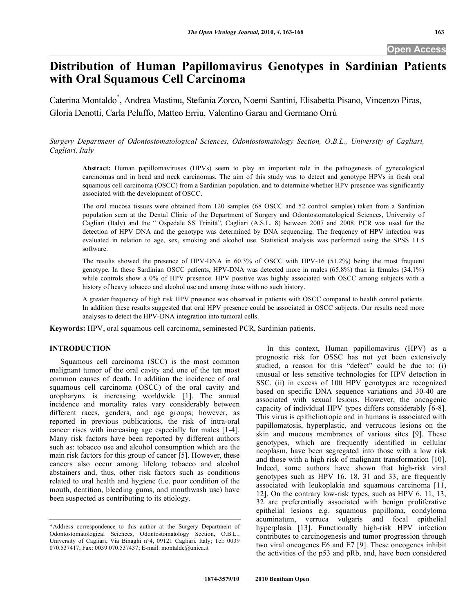# **Distribution of Human Papillomavirus Genotypes in Sardinian Patients with Oral Squamous Cell Carcinoma**

Caterina Montaldo\* , Andrea Mastinu, Stefania Zorco, Noemi Santini, Elisabetta Pisano, Vincenzo Piras, Gloria Denotti, Carla Peluffo, Matteo Erriu, Valentino Garau and Germano Orrù

*Surgery Department of Odontostomatological Sciences, Odontostomatology Section, O.B.L., University of Cagliari, Cagliari, Italy* 

**Abstract:** Human papillomaviruses (HPVs) seem to play an important role in the pathogenesis of gynecological carcinomas and in head and neck carcinomas. The aim of this study was to detect and genotype HPVs in fresh oral squamous cell carcinoma (OSCC) from a Sardinian population, and to determine whether HPV presence was significantly associated with the development of OSCC.

The oral mucosa tissues were obtained from 120 samples (68 OSCC and 52 control samples) taken from a Sardinian population seen at the Dental Clinic of the Department of Surgery and Odontostomatological Sciences, University of Cagliari (Italy) and the " Ospedale SS Trinità", Cagliari (A.S.L. 8) between 2007 and 2008. PCR was used for the detection of HPV DNA and the genotype was determined by DNA sequencing. The frequency of HPV infection was evaluated in relation to age, sex, smoking and alcohol use. Statistical analysis was performed using the SPSS 11.5 software.

The results showed the presence of HPV-DNA in 60.3% of OSCC with HPV-16 (51.2%) being the most frequent genotype. In these Sardinian OSCC patients, HPV-DNA was detected more in males (65.8%) than in females (34.1%) while controls show a 0% of HPV presence. HPV positive was highly associated with OSCC among subjects with a history of heavy tobacco and alcohol use and among those with no such history.

A greater frequency of high risk HPV presence was observed in patients with OSCC compared to health control patients. In addition these results suggested that oral HPV presence could be associated in OSCC subjects. Our results need more analyses to detect the HPV-DNA integration into tumoral cells.

**Keywords:** HPV, oral squamous cell carcinoma, seminested PCR, Sardinian patients.

## **INTRODUCTION**

 Squamous cell carcinoma (SCC) is the most common malignant tumor of the oral cavity and one of the ten most common causes of death. In addition the incidence of oral squamous cell carcinoma (OSCC) of the oral cavity and oropharynx is increasing worldwide [1]. The annual incidence and mortality rates vary considerably between different races, genders, and age groups; however, as reported in previous publications, the risk of intra-oral cancer rises with increasing age especially for males [1-4]. Many risk factors have been reported by different authors such as: tobacco use and alcohol consumption which are the main risk factors for this group of cancer [5]. However, these cancers also occur among lifelong tobacco and alcohol abstainers and, thus, other risk factors such as conditions related to oral health and hygiene (i.e. poor condition of the mouth, dentition, bleeding gums, and mouthwash use) have been suspected as contributing to its etiology.

 In this context, Human papillomavirus (HPV) as a prognostic risk for OSSC has not yet been extensively studied, a reason for this "defect" could be due to: (i) unusual or less sensitive technologies for HPV detection in SSC, (ii) in excess of 100 HPV genotypes are recognized based on specific DNA sequence variations and 30-40 are associated with sexual lesions. However, the oncogenic capacity of individual HPV types differs considerably [6-8]. This virus is epitheliotropic and in humans is associated with papillomatosis, hyperplastic, and verrucous lesions on the skin and mucous membranes of various sites [9]. These genotypes, which are frequently identified in cellular neoplasm, have been segregated into those with a low risk and those with a high risk of malignant transformation [10]. Indeed, some authors have shown that high-risk viral genotypes such as HPV 16, 18, 31 and 33, are frequently associated with leukoplakia and squamous carcinoma [11, 12]. On the contrary low-risk types, such as HPV 6, 11, 13, 32 are preferentially associated with benign proliferative epithelial lesions e.g. squamous papilloma, condyloma acuminatum, verruca vulgaris and focal epithelial hyperplasia [13]. Functionally high-risk HPV infection contributes to carcinogenesis and tumor progression through two viral oncogenes E6 and E7 [9]. These oncogenes inhibit the activities of the p53 and pRb, and, have been considered

<sup>\*</sup>Address correspondence to this author at the Surgery Department of Odontostomatological Sciences, Odontostomatology Section, O.B.L., University of Cagliari, Via Binaghi n°4, 09121 Cagliari, Italy; Tel: 0039 070.537417; Fax: 0039 070.537437; E-mail: montaldc@unica.it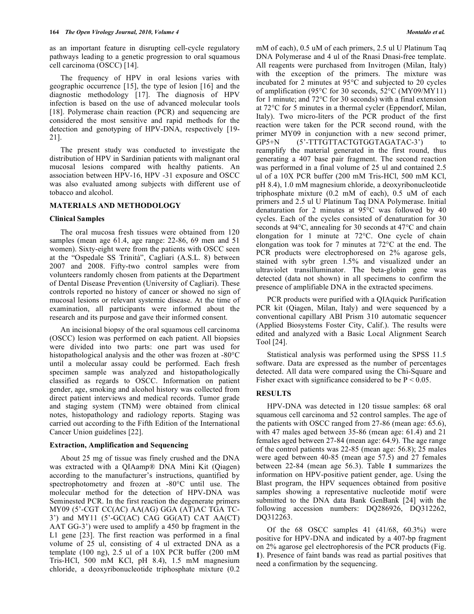as an important feature in disrupting cell-cycle regulatory pathways leading to a genetic progression to oral squamous cell carcinoma (OSCC) [14].

 The frequency of HPV in oral lesions varies with geographic occurrence [15], the type of lesion [16] and the diagnostic methodology [17]. The diagnosis of HPV infection is based on the use of advanced molecular tools [18]. Polymerase chain reaction (PCR) and sequencing are considered the most sensitive and rapid methods for the detection and genotyping of HPV-DNA, respectively [19- 21].

 The present study was conducted to investigate the distribution of HPV in Sardinian patients with malignant oral mucosal lesions compared with healthy patients. An association between HPV-16, HPV -31 exposure and OSCC was also evaluated among subjects with different use of tobacco and alcohol.

## **MATERIALS AND METHODOLOGY**

#### **Clinical Samples**

 The oral mucosa fresh tissues were obtained from 120 samples (mean age 61.4, age range: 22-86, 69 men and 51 women). Sixty-eight were from the patients with OSCC seen at the "Ospedale SS Trinità", Cagliari (A.S.L. 8) between 2007 and 2008. Fifty-two control samples were from volunteers randomly chosen from patients at the Department of Dental Disease Prevention (University of Cagliari). These controls reported no history of cancer or showed no sign of mucosal lesions or relevant systemic disease. At the time of examination, all participants were informed about the research and its purpose and gave their informed consent.

 An incisional biopsy of the oral squamous cell carcinoma (OSCC) lesion was performed on each patient. All biopsies were divided into two parts: one part was used for histopathological analysis and the other was frozen at -80°C until a molecular assay could be performed. Each fresh specimen sample was analyzed and histopathologically classified as regards to OSCC. Information on patient gender, age, smoking and alcohol history was collected from direct patient interviews and medical records. Tumor grade and staging system (TNM) were obtained from clinical notes, histopathology and radiology reports. Staging was carried out according to the Fifth Edition of the International Cancer Union guidelines [22].

#### **Extraction, Amplification and Sequencing**

 About 25 mg of tissue was finely crushed and the DNA was extracted with a QIAamp® DNA Mini Kit (Qiagen) according to the manufacturer's instructions, quantified by spectrophotometry and frozen at -80°C until use. The molecular method for the detection of HPV-DNA was Seminested PCR. In the first reaction the degenerate primers MY09 (5'-CGT CC(AC) AA(AG) GGA (AT)AC TGA TC-3') and MY11 (5'-GC(AC) CAG GG(AT) CAT AA(CT) AAT GG-3') were used to amplify a 450 bp fragment in the L1 gene [23]. The first reaction was performed in a final volume of 25 ul, consisting of 4 ul extracted DNA as a template (100 ng), 2.5 ul of a 10X PCR buffer (200 mM Tris-HCl, 500 mM KCl, pH 8.4), 1.5 mM magnesium chloride, a deoxyribonucleotide triphosphate mixture (0.2

mM of each), 0.5 uM of each primers, 2.5 ul U Platinum Taq DNA Polymerase and 4 ul of the Rnasi Dnasi-free template. All reagents were purchased from Invitrogen (Milan, Italy) with the exception of the primers. The mixture was incubated for 2 minutes at 95°C and subjected to 20 cycles of amplification (95°C for 30 seconds, 52°C (MY09/MY11) for 1 minute; and 72°C for 30 seconds) with a final extension at 72°C for 5 minutes in a thermal cycler (Eppendorf, Milan, Italy). Two micro-liters of the PCR product of the first reaction were taken for the PCR second round, with the primer MY09 in conjunction with a new second primer, GP5+N (5'-TTTGTTACTGTGGTAGATAC-3') to reamplify the material generated in the first round, thus generating a 407 base pair fragment. The second reaction was performed in a final volume of 25 ul and contained 2.5 ul of a 10X PCR buffer (200 mM Tris-HCl, 500 mM KCl, pH 8.4), 1.0 mM magnesium chloride, a deoxyribonucleotide triphosphate mixture (0.2 mM of each), 0.5 uM of each primers and 2.5 ul U Platinum Taq DNA Polymerase. Initial denaturation for 2 minutes at 95°C was followed by 40 cycles. Each of the cycles consisted of denaturation for 30 seconds at 94°C, annealing for 30 seconds at 47°C and chain elongation for 1 minute at 72°C. One cycle of chain elongation was took for 7 minutes at 72°C at the end. The PCR products were electrophoresed on 2% agarose gels, stained with sybr green 1.5% and visualized under an ultraviolet transilluminator. The beta-globin gene was detected (data not shown) in all specimens to confirm the presence of amplifiable DNA in the extracted specimens.

 PCR products were purified with a QIAquick Purification PCR kit (Qiagen, Milan, Italy) and were sequenced by a conventional capillary ABI Prism 310 automatic sequencer (Applied Biosystems Foster City, Calif.). The results were edited and analyzed with a Basic Local Alignment Search Tool [24].

 Statistical analysis was performed using the SPSS 11.5 software. Data are expressed as the number of percentages detected. All data were compared using the Chi-Square and Fisher exact with significance considered to be  $P < 0.05$ .

#### **RESULTS**

 HPV-DNA was detected in 120 tissue samples: 68 oral squamous cell carcinoma and 52 control samples. The age of the patients with OSCC ranged from 27-86 (mean age: 65.6), with 47 males aged between 35-86 (mean age: 61.4) and 21 females aged between 27-84 (mean age: 64.9). The age range of the control patients was 22-85 (mean age: 56.8); 25 males were aged between 40-85 (mean age 57.5) and 27 females between 22-84 (mean age 56.3). Table **1** summarizes the information on HPV-positive patient gender, age. Using the Blast program, the HPV sequences obtained from positive samples showing a representative nucleotide motif were submitted to the DNA data Bank GenBank [24] with the following accession numbers: DQ286926, DQ312262, DQ312263.

Of the  $68$  OSCC samples  $41$   $(41/68, 60.3%)$  were positive for HPV-DNA and indicated by a 407-bp fragment on 2% agarose gel electrophoresis of the PCR products (Fig. **1**). Presence of faint bands was read as partial positives that need a confirmation by the sequencing.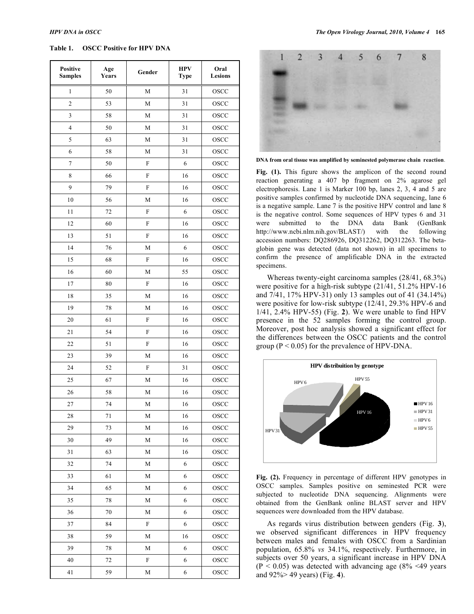## **Table 1. OSCC Positive for HPV DNA**

| <b>Positive</b><br><b>Samples</b> | Age<br>Years | Gender         | <b>HPV</b><br><b>Type</b> | Oral<br><b>Lesions</b> |
|-----------------------------------|--------------|----------------|---------------------------|------------------------|
| 1                                 | 50           | M              | 31                        | OSCC                   |
| $\overline{c}$                    | 53           | М              | 31                        | OSCC                   |
| 3                                 | 58           | М              | 31                        | <b>OSCC</b>            |
| $\overline{4}$                    | 50           | М              | 31                        | OSCC                   |
| 5                                 | 63           | М              | 31                        | OSCC                   |
| 6                                 | 58           | $\mathbf M$    | 31                        | <b>OSCC</b>            |
| $\overline{7}$                    | 50           | $\mathbf F$    | 6                         | OSCC                   |
| 8                                 | 66           | ${\bf F}$      | 16                        | OSCC                   |
| 9                                 | 79           | $\mathbf F$    | 16                        | OSCC                   |
| 10                                | 56           | М              | 16                        | OSCC                   |
| 11                                | 72           | ${\bf F}$      | 6                         | OSCC                   |
| 12                                | 60           | F              | 16                        | OSCC                   |
| 13                                | 51           | ${\bf F}$      | 16                        | OSCC                   |
| 14                                | 76           | $\mathbf M$    | 6                         | <b>OSCC</b>            |
| 15                                | 68           | ${\bf F}$      | 16                        | <b>OSCC</b>            |
| 16                                | 60           | $\mathbf M$    | 55                        | OSCC                   |
| 17                                | 80           | $\mathbf F$    | 16                        | OSCC                   |
| 18                                | 35           | М              | 16                        | OSCC                   |
| 19                                | 78           | М              | 16                        | OSCC                   |
| 20                                | 61           | ${\bf F}$      | 16                        | OSCC                   |
| 21                                | 54           | $\overline{F}$ | 16                        | OSCC                   |
| 22                                | 51           | F              | 16                        | OSCC                   |
| 23                                | 39           | $\mathbf M$    | 16                        | OSCC                   |
| 24                                | 52           | F              | 31                        | OSCC                   |
| 25                                | 67           | М              | 16                        | OSCC                   |
| 26                                | 58           | М              | 16                        | OSCC                   |
| 27                                | 74           | $\mathbf{M}$   | 16                        | OSCC                   |
| 28                                | 71           | $\mathbf M$    | 16                        | OSCC                   |
| 29                                | 73           | $\mathbf M$    | 16                        | OSCC                   |
| 30                                | 49           | $\mathbf M$    | 16                        | OSCC                   |
| 31                                | 63           | $\mathbf M$    | 16                        | OSCC                   |
| 32                                | 74           | $\mathbf M$    | 6                         | OSCC                   |
| 33                                | 61           | $\mathbf M$    | 6                         | OSCC                   |
| 34                                | 65           | М              | 6                         | OSCC                   |
| 35                                | 78           | М              | 6                         | OSCC                   |
| 36                                | 70           | $\mathbf M$    | 6                         | OSCC                   |
| 37                                | 84           | ${\rm F}$      | 6                         | OSCC                   |
| 38                                | 59           | $\mathbf M$    | 16                        | OSCC                   |
| 39                                | 78           | $\mathbf M$    | 6                         | OSCC                   |
| 40                                | 72           | ${\rm F}$      | 6                         | OSCC                   |
| 41                                | 59           | $\mathbf M$    | 6                         | OSCC                   |



**DNA from oral tissue was amplified by seminested polymerase chain reaction**.

Fig. (1). This figure shows the amplicon of the second round reaction generating a 407 bp fragment on 2% agarose gel electrophoresis. Lane 1 is Marker 100 bp, lanes 2, 3, 4 and 5 are positive samples confirmed by nucleotide DNA sequencing, lane 6 is a negative sample. Lane 7 is the positive HPV control and lane 8 is the negative control. Some sequences of HPV types 6 and 31 were submitted to the DNA data Bank (GenBank http://www.ncbi.nlm.nih.gov/BLAST/) with the following accession numbers: DQ286926, DQ312262, DQ312263. The betaglobin gene was detected (data not shown) in all specimens to confirm the presence of amplificable DNA in the extracted specimens.

 Whereas twenty-eight carcinoma samples (28/41, 68.3%) were positive for a high-risk subtype (21/41, 51.2% HPV-16 and 7/41, 17% HPV-31) only 13 samples out of 41 (34.14%) were positive for low-risk subtype (12/41, 29.3% HPV-6 and 1/41, 2.4% HPV-55) (Fig. **2**). We were unable to find HPV presence in the 52 samples forming the control group. Moreover, post hoc analysis showed a significant effect for the differences between the OSCC patients and the control group ( $P < 0.05$ ) for the prevalence of HPV-DNA.



**Fig. (2).** Frequency in percentage of different HPV genotypes in OSCC samples. Samples positive on seminested PCR were subjected to nucleotide DNA sequencing. Alignments were obtained from the GenBank online BLAST server and HPV sequences were downloaded from the HPV database.

 As regards virus distribution between genders (Fig. **3**), we observed significant differences in HPV frequency between males and females with OSCC from a Sardinian population, 65.8% *vs* 34.1%, respectively. Furthermore, in subjects over 50 years, a significant increase in HPV DNA  $(P < 0.05)$  was detected with advancing age  $(8\% \le 49)$  years and 92%> 49 years) (Fig. **4**).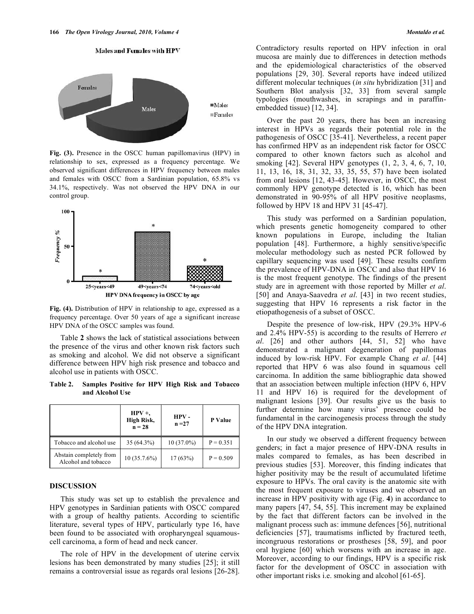



**Fig. (3).** Presence in the OSCC human papillomavirus (HPV) in relationship to sex, expressed as a frequency percentage. We observed significant differences in HPV frequency between males and females with OSCC from a Sardinian population, 65.8% vs 34.1%, respectively. Was not observed the HPV DNA in our control group.



**Fig. (4).** Distribution of HPV in relationship to age, expressed as a frequency percentage. Over 50 years of age a significant increase HPV DNA of the OSCC samples was found.

 Table **2** shows the lack of statistical associations between the presence of the virus and other known risk factors such as smoking and alcohol. We did not observe a significant difference between HPV high risk presence and tobacco and alcohol use in patients with OSCC.

**Table 2. Samples Positive for HPV High Risk and Tobacco and Alcohol Use** 

|                                                | $HPV +$<br>High Risk,<br>$n = 28$ | HPV-<br>$n = 27$ | P Value     |
|------------------------------------------------|-----------------------------------|------------------|-------------|
| Tobacco and alcohol use                        | $35(64.3\%)$                      | $10(37.0\%)$     | $P = 0.351$ |
| Abstain completely from<br>Alcohol and tobacco | $10(35.7.6\%)$                    | 17(63%)          | $P = 0.509$ |

## **DISCUSSION**

 This study was set up to establish the prevalence and HPV genotypes in Sardinian patients with OSCC compared with a group of healthy patients. According to scientific literature, several types of HPV, particularly type 16, have been found to be associated with oropharyngeal squamouscell carcinoma, a form of head and neck cancer.

 The role of HPV in the development of uterine cervix lesions has been demonstrated by many studies [25]; it still remains a controversial issue as regards oral lesions [26-28]. Contradictory results reported on HPV infection in oral mucosa are mainly due to differences in detection methods and the epidemiological characteristics of the observed populations [29, 30]. Several reports have indeed utilized different molecular techniques (*in situ* hybridization [31] and Southern Blot analysis [32, 33] from several sample typologies (mouthwashes, in scrapings and in paraffinembedded tissue) [12, 34].

 Over the past 20 years, there has been an increasing interest in HPVs as regards their potential role in the pathogenesis of OSCC [35-41]. Nevertheless, a recent paper has confirmed HPV as an independent risk factor for OSCC compared to other known factors such as alcohol and smoking [42]. Several HPV genotypes (1, 2, 3, 4, 6, 7, 10, 11, 13, 16, 18, 31, 32, 33, 35, 55, 57) have been isolated from oral lesions [12, 43-45]. However, in OSCC, the most commonly HPV genotype detected is 16, which has been demonstrated in 90-95% of all HPV positive neoplasms, followed by HPV 18 and HPV 31 [45-47].

 This study was performed on a Sardinian population, which presents genetic homogeneity compared to other known populations in Europe, including the Italian population [48]. Furthermore, a highly sensitive/specific molecular methodology such as nested PCR followed by capillary sequencing was used [49]. These results confirm the prevalence of HPV-DNA in OSCC and also that HPV 16 is the most frequent genotype. The findings of the present study are in agreement with those reported by Miller *et al*. [50] and Anaya-Saavedra *et al*. [43] in two recent studies, suggesting that HPV 16 represents a risk factor in the etiopathogenesis of a subset of OSCC.

 Despite the presence of low-risk, HPV (29.3% HPV-6 and 2.4% HPV-55) is according to the results of Herrero *et al*. [26] and other authors [44, 51, 52] who have demonstrated a malignant degeneration of papillomas induced by low-risk HPV. For example Chang *et al*. [44] reported that HPV 6 was also found in squamous cell carcinoma. In addition the same bibliographic data showed that an association between multiple infection (HPV 6, HPV 11 and HPV 16) is required for the development of malignant lesions [39]. Our results give us the basis to further determine how many virus' presence could be fundamental in the carcinogenesis process through the study of the HPV DNA integration.

 In our study we observed a different frequency between genders; in fact a major presence of HPV-DNA results in males compared to females, as has been described in previous studies [53]. Moreover, this finding indicates that higher positivity may be the result of accumulated lifetime exposure to HPVs. The oral cavity is the anatomic site with the most frequent exposure to viruses and we observed an increase in HPV positivity with age (Fig. **4**) in accordance to many papers [47, 54, 55]. This increment may be explained by the fact that different factors can be involved in the malignant process such as: immune defences [56], nutritional deficiencies [57], traumatisms inflicted by fractured teeth, incongruous restorations or prostheses [58, 59], and poor oral hygiene [60] which worsens with an increase in age. Moreover, according to our findings, HPV is a specific risk factor for the development of OSCC in association with other important risks i.e. smoking and alcohol [61-65].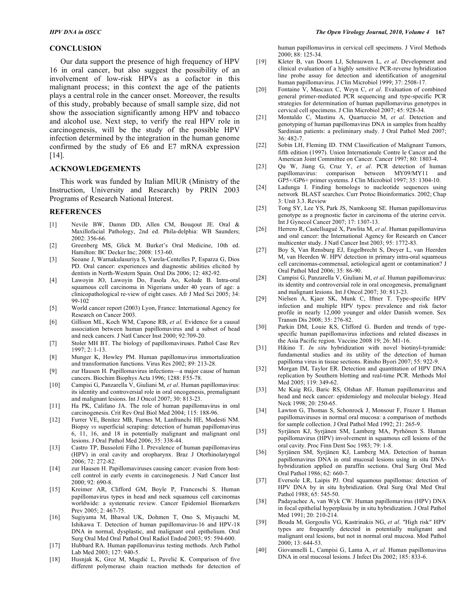#### **CONCLUSION**

 Our data support the presence of high frequency of HPV 16 in oral cancer, but also suggest the possibility of an involvement of low-risk HPVs as a cofactor in this malignant process; in this context the age of the patients plays a central role in the cancer onset. Moreover, the results of this study, probably because of small sample size, did not show the association significantly among HPV and tobacco and alcohol use. Next step, to verify the real HPV role in carcinogenesis, will be the study of the possible HPV infection determined by the integration in the human genome confirmed by the study of E6 and E7 mRNA expression [14].

### **ACKNOWLEDGEMENTS**

 This work was funded by Italian MIUR (Ministry of the Instruction, University and Research) by PRIN 2003 Programs of Research National Interest.

## **REFERENCES**

- [1] Nevile BW, Damm DD, Allen CM, Bouqout JE. Oral & Maxillofacial Pathology, 2nd ed. Phila-delphia: WB Saunders; 2002: 356-66.
- [2] Greenberg MS, Glick M. Burket's Oral Medicine, 10th ed. Hamilton: BC Decker Inc; 2008: 153-60.
- [3] Seoane J, Warnakulasuriya S, Varela-Centelles P, Esparza G, Dios PD. Oral cancer: experiences and diagnostic abilities elicited by dentists in North-Western Spain. Oral Dis 2006; 12: 482-92.
- [4] Lawoyin JO, Lawoyin Do, Fasola Ao, Kolude B. Intra-oral squamous cell carcinoma in Nigerians under 40 years of age: a clinicopathological re-view of eight cases. Afr J Med Sci 2005; 34: 99-102
- [5] World cancer report (2003) Lyon, France: International Agency for Research on Cancer 2003.
- [6] Gillison ML, Koch WM, Capone RB, *et al*. Evidence for a causal association between human papillomavirus and a subset of head and neck cancers. J Natl Cancer Inst 2000; 92:709-20.
- [7] Stoler MH BT. The biology of papillomaviruses. Pathol Case Rev 1997; 2: 1-13.
- [8] Munger K, Howley PM. Human papillomavirus immortalization and transformation functions. Virus Res 2002; 89: 213-28.
- [9] zur Hausen H. Papillomavirus infections—a major cause of human cancers. Biochim Biophys Acta 1996; 1288: F55-78.
- [10] Campisi G, Panzarella V, Giuliani M, *et al*. Human papillomavirus: its identity and controversial role in oral oncogenesis, premalignant and malignant lesions. Int J Oncol 2007; 30: 813-23.
- [11] Ha PK, Califano JA. The role of human papillomavirus in oral carcinogenesis. Crit Rev Oral Biol Med 2004; 115: 188-96.
- [12] Furrer VE, Benitez MB, Furnes M, Lanfranchi HE, Modesti NM. Biopsy *vs* superficial scraping: detection of human papillomavirus 6, 11, 16, and 18 in potentially malignant and malignant oral lesions. J Oral Pathol Med 2006; 35: 338-44.
- [13] Castro TP, Bussoloti Filho I. Prevalence of human papillomavirus (HPV) in oral cavity and oropharynx. Braz J Otorhinolaryngol 2006; 72: 272-82.
- [14] zur Hausen H. Papillomaviruses causing cancer: evasion from hostcell control in early events in carcinogenesis. J Natl Cancer Inst 2000; 92: 690-8.
- [15] Kreimer AR, Clifford GM, Boyle P, Franceschi S. Human papillomavirus types in head and neck squamous cell carcinomas worldwide: a systematic review. Cancer Epidemiol Biomarkers Prev 2005; 2: 467-75.
- [16] Sugiyama M, Bhawal UK, Dohmen T, Ono S, Miyauchi M, Ishikawa T. Detection of human papillomavirus-16 and HPV-18 DNA in normal, dysplastic, and malignant oral epithelium. Oral Surg Oral Med Oral Pathol Oral Radiol Endod 2003; 95: 594-600.
- [17] Hubbard RA. Human papillomavirus testing methods. Arch Pathol Lab Med 2003; 127: 940-5.
- [18] Husnjak K, Gree M, Magdić L, Pavelić K. Comparison of five different polymerase chain reaction methods for detection of

human papillomavirus in cervical cell specimens. J Virol Methods 2000; 88: 125-34.

- [19] Kleter B, van Doorn LJ, Schrauwen L, *et al*. Development and clinical evaluation of a highly sensitive PCR-reverse hybridization line probe assay for detection and identification of anogenital human papillomavirus. J Clin Microbiol 1999; 37: 2508-17.
- [20] Fontaine V, Mascaux C, Weyn C, *et al*. Evaluation of combined general primer-mediated PCR sequencing and type-specific PCR strategies for determination of human papillomavirus genotypes in cervical cell specimens. J Clin Microbiol 2007; 45: 928-34.
- [21] Montaldo C, Mastinu A, Quartuccio M, *et al*. Detection and genotyping of human papillomavirus DNA in samples from healthy Sardinian patients: a preliminary study. J Oral Pathol Med 2007; 36: 482-7.
- [22] Sobin LH, Fleming ID. TNM Classification of Malignant Tumors, fifth edition (1997). Union Internationale Contre le Cancer and the American Joint Committee on Cancer. Cancer 1997; 80: 1803-4.
- [23] Qu W, Jiang G, Cruz Y, *et al*. PCR detection of human papillomavirus: comparison between MY09/MY11 and GP5+/GP6+ primer systems. J Clin Microbiol 1997; 35: 1304-10.
- [24] Ladunga I. Finding homologs to nucleotide sequences using network BLAST searches. Curr Protoc Bioinformatics. 2002; Chap 3: Unit 3.3. Review
- [25] Tong SY, Lee YS, Park JS, Namkoong SE. Human papillomavirus genotype as a prognostic factor in carcinoma of the uterine cervix. Int J Gynecol Cancer 2007; 17: 1307-13.
- [26] Herrero R, Castellsagué X, Pawlita M, *et al*. Human papillomavirus and oral cancer: the International Agency for Research on Cancer multicenter study. J Natl Cancer Inst 2003; 95: 1772-83.
- [27] Boy S, Van Rensburg EJ, Engelbrecht S, Dreyer L, van Heerden M, van Heerden W. HPV detection in primary intra-oral squamous cell carcinomas-commensal, aetiological agent or contamination? J Oral Pathol Med 2006; 35: 86-90.
- [28] Campisi G, Panzarella V, Giuliani M, *et al*. Human papillomavirus: its identity and controversial role in oral oncogenesis, premalignant and malignant lesions. Int J Oncol 2007; 30: 813-23.
- [29] Nielsen A, Kjaer SK, Munk C, Iftner T. Type-specific HPV infection and multiple HPV types: prevalence and risk factor profile in nearly 12,000 younger and older Danish women. Sex Transm Dis 2008; 35: 276-82.
- [30] Parkin DM, Louie KS, Clifford G. Burden and trends of typespecific human papillomavirus infections and related diseases in the Asia Pacific region. Vaccine 2008 19; 26: M1-16.
- [31] Hikino T. *In situ* hybridization with novel biotinyl-tyramide: fundamental studies and its utility of the detection of human papilloma virus in tissue sections. Rinsho Byori 2007; 55: 922-9.
- [32] Morgan IM, Taylor ER. Detection and quantitation of HPV DNA replication by Southern blotting and real-time PCR. Methods Mol Med 2005; 119: 349-62.
- [33] Mc Kaig RG, Baric RS, Olshan AF. Human papillomavirus and head and neck cancer: epidemiology and molecular biology. Head Neck 1998; 20: 250-65.
- [34] Lawton G, Thomas S, Schonrock J, Monsour F, Frazer I. Human papillomaviruses in normal oral mucosa: a comparison of methods for sample collection. J Oral Pathol Med 1992; 21: 265-9.
- [35] Syrjänen KJ, Syrjänen SM, Lamberg MA, Pyrhönen S. Human papillomavirus (HPV) involvement in squamous cell lesions of the oral cavity. Proc Finn Dent Soc 1983; 79: 1-8.
- [36] Syrjänen SM, Syrjänen KJ, Lamberg MA. Detection of human papillomavirus DNA in oral mucosal lesions using in situ DNAhybridization applied on paraffin sections. Oral Surg Oral Med Oral Pathol 1986; 62: 660-7.
- [37] Eversole LR, Laipis PJ. Oral squamous papillomas: detection of HPV DNA by in situ hybridization. Oral Surg Oral Med Oral Pathol 1988; 65: 545-50.
- [38] Padayachee A, van Wyk CW. Human papillomavirus (HPV) DNA in focal epithelial hyperplasia by in situ hybridization. J Oral Pathol Med 1991; 20: 210-214.
- [39] Bouda M, Gorgoulis VG, Kastrinakis NG, *et al*. "High risk" HPV types are frequently detected in potentially malignant and malignant oral lesions, but not in normal oral mucosa. Mod Pathol 2000; 13: 644-53.
- [40] Giovannelli L, Campisi G, Lama A, *et al*. Human papillomavirus DNA in oral mucosal lesions. J Infect Dis 2002; 185: 833-6.